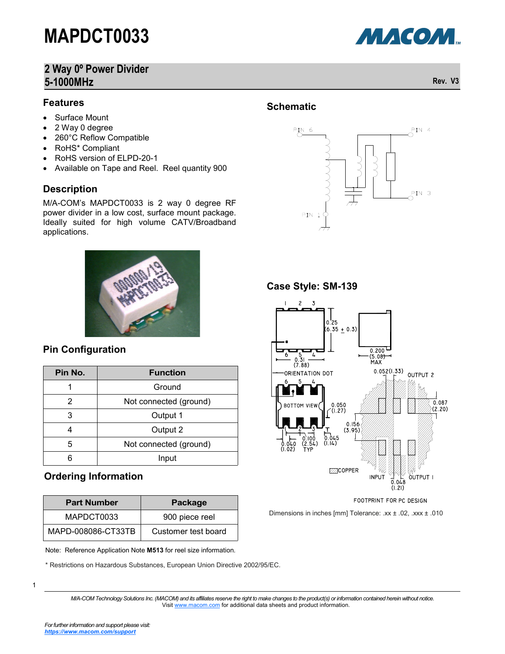### **2 Way 0º Power Divider 5-1000MHz Rev. V3**

### **Features**

- Surface Mount
- 2 Way 0 degree
- 260°C Reflow Compatible
- RoHS\* Compliant
- RoHS version of ELPD-20-1
- Available on Tape and Reel. Reel quantity 900

### **Description**

### **Pin Configuration**

| Surface Mount<br>2 Way 0 degree<br>260°C Reflow Compatible<br>RoHS* Compliant<br>RoHS version of ELPD-20-1<br>Available on Tape and Reel. Reel quantity 900<br>$\bullet$<br><b>Description</b><br>M/A-COM's MAPDCT0033 is 2 way 0 degree RF<br>power divider in a low cost, surface mount package.<br>Ideally suited for high volume CATV/Broadband<br>applications.<br><b>Pin Configuration</b><br><b>Function</b><br>Pin No.<br>1<br>Ground<br>2<br>Not connected (ground)<br>3<br>Output 1<br>$\overline{4}$<br>Output 2<br>5<br>Not connected (ground)<br>6<br>Input |  |  |  |
|--------------------------------------------------------------------------------------------------------------------------------------------------------------------------------------------------------------------------------------------------------------------------------------------------------------------------------------------------------------------------------------------------------------------------------------------------------------------------------------------------------------------------------------------------------------------------|--|--|--|
|                                                                                                                                                                                                                                                                                                                                                                                                                                                                                                                                                                          |  |  |  |
|                                                                                                                                                                                                                                                                                                                                                                                                                                                                                                                                                                          |  |  |  |
|                                                                                                                                                                                                                                                                                                                                                                                                                                                                                                                                                                          |  |  |  |
|                                                                                                                                                                                                                                                                                                                                                                                                                                                                                                                                                                          |  |  |  |
|                                                                                                                                                                                                                                                                                                                                                                                                                                                                                                                                                                          |  |  |  |
|                                                                                                                                                                                                                                                                                                                                                                                                                                                                                                                                                                          |  |  |  |
|                                                                                                                                                                                                                                                                                                                                                                                                                                                                                                                                                                          |  |  |  |
|                                                                                                                                                                                                                                                                                                                                                                                                                                                                                                                                                                          |  |  |  |
|                                                                                                                                                                                                                                                                                                                                                                                                                                                                                                                                                                          |  |  |  |
|                                                                                                                                                                                                                                                                                                                                                                                                                                                                                                                                                                          |  |  |  |
| <b>Ordering Information</b>                                                                                                                                                                                                                                                                                                                                                                                                                                                                                                                                              |  |  |  |
| <b>Part Number</b><br><b>Package</b>                                                                                                                                                                                                                                                                                                                                                                                                                                                                                                                                     |  |  |  |
| MAPDCT0033<br>900 piece reel                                                                                                                                                                                                                                                                                                                                                                                                                                                                                                                                             |  |  |  |
| MAPD-008086-CT33TB<br>Customer test board                                                                                                                                                                                                                                                                                                                                                                                                                                                                                                                                |  |  |  |

### **Ordering Information**

| <b>Part Number</b> | Package             |  |  |
|--------------------|---------------------|--|--|
| MAPDCT0033         | 900 piece reel      |  |  |
| MAPD-008086-CT33TB | Customer test board |  |  |

\* Restrictions on Hazardous Substances, European Union Directive 2002/95/EC.

**Schematic**



**Case Style: SM-139**



Dimensions in inches [mm] Tolerance: .xx ± .02, .xxx ± .010

1



*M/A-COM Technology Solutions Inc. (MACOM) and its affiliates reserve the right to make changes to the product(s) or information contained herein without notice.*  Visit [www.macom.com](http://www.macom.com/) for additional data sheets and product information.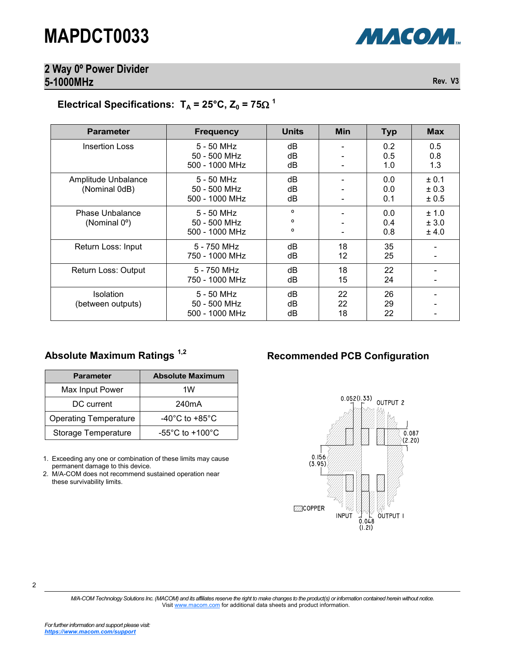# **2 Way 0º Power Divider**

2

# **5-1000MHz Rev. V3**

### Electrical Specifications:  $T_A = 25^{\circ}C$ ,  $Z_0 = 75\Omega^1$

| <b>Parameter</b>                     | <b>Frequency</b>                             | <b>Units</b>                                   | Min                          | <b>Typ</b>        | <b>Max</b>                  |  |
|--------------------------------------|----------------------------------------------|------------------------------------------------|------------------------------|-------------------|-----------------------------|--|
| <b>Insertion Loss</b>                | 5 - 50 MHz<br>50 - 500 MHz<br>500 - 1000 MHz | dB<br>dB<br>dB                                 |                              | 0.2<br>0.5<br>1.0 | 0.5<br>0.8<br>1.3           |  |
| Amplitude Unbalance<br>(Nominal 0dB) | 5 - 50 MHz<br>50 - 500 MHz<br>500 - 1000 MHz | dB<br>dB<br>dB                                 |                              | 0.0<br>0.0<br>0.1 | ± 0.1<br>± 0.3<br>$\pm$ 0.5 |  |
| Phase Unbalance<br>(Nominal 0°)      | 5 - 50 MHz<br>50 - 500 MHz<br>500 - 1000 MHz | $\mathbf{o}$<br>$\mathbf{o}$<br>$\mathsf{o}\,$ | $\qquad \qquad \blacksquare$ | 0.0<br>0.4<br>0.8 | ± 1.0<br>± 3.0<br>± 4.0     |  |
| Return Loss: Input                   | 5 - 750 MHz<br>750 - 1000 MHz                | dB<br>dB                                       | 18<br>12                     | 35<br>25          |                             |  |
| Return Loss: Output                  | 5 - 750 MHz<br>750 - 1000 MHz                | dB<br>dB                                       | 18<br>15                     | 22<br>24          |                             |  |
| Isolation<br>(between outputs)       | 5 - 50 MHz<br>50 - 500 MHz<br>500 - 1000 MHz | dB<br>dB<br>dB                                 | 22<br>22<br>18               | 26<br>29<br>22    | $\overline{\phantom{a}}$    |  |
| <b>Parameter</b>                     | <b>Absolute Maximum</b>                      |                                                |                              |                   |                             |  |
| Max Input Power                      | 1W                                           |                                                |                              |                   |                             |  |
| DC current                           | 240mA                                        |                                                |                              |                   | 0.052(1.33)<br>OUTPUT 2     |  |
| <b>Operating Temperature</b>         | -40 $^{\circ}$ C to +85 $^{\circ}$ C         |                                                |                              |                   |                             |  |
|                                      |                                              |                                                |                              |                   |                             |  |
| Storage Temperature                  | -55 $^{\circ}$ C to +100 $^{\circ}$ C        |                                                |                              |                   | 0.087<br>(2.20)             |  |

*M/A-COM Technology Solutions Inc. (MACOM) and its affiliates reserve the right to make changes to the product(s) or information contained herein without notice.*  Visit [www.macom.com](http://www.macom.com/) for additional data sheets and product information.

| <b>Parameter</b>             | <b>Absolute Maximum</b>             |  |  |
|------------------------------|-------------------------------------|--|--|
| Max Input Power              | 1W                                  |  |  |
| DC current                   | 240mA                               |  |  |
| <b>Operating Temperature</b> | $-40^{\circ}$ C to $+85^{\circ}$ C  |  |  |
| Storage Temperature          | $-55^{\circ}$ C to $+100^{\circ}$ C |  |  |

### Absolute Maximum Ratings<sup>1,2</sup> Recommended PCB Configuration



МАСОМ.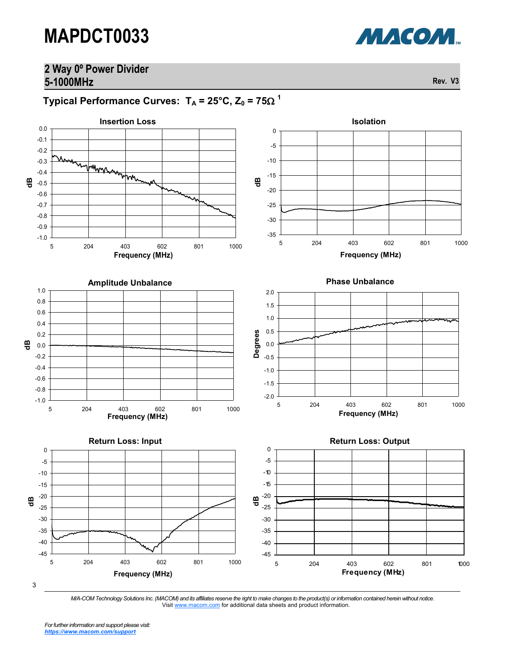### **2 Way 0º Power Divider 5-1000MHz Rev. V3**

<code>Typical Performance Curves: T $_{\mathsf{A}}$  = 25°C, Z $_{\mathsf{0}}$  = 75 $\Omega$   $^{\mathsf{1}}$ </code>



3

*M/A-COM Technology Solutions Inc. (MACOM) and its affiliates reserve the right to make changes to the product(s) or information contained herein without notice.*  Visit [www.macom.com](http://www.macom.com/) for additional data sheets and product information.

*For further information and support please visit: [https://www.macom.com/support](http://www.macom.com/support)*